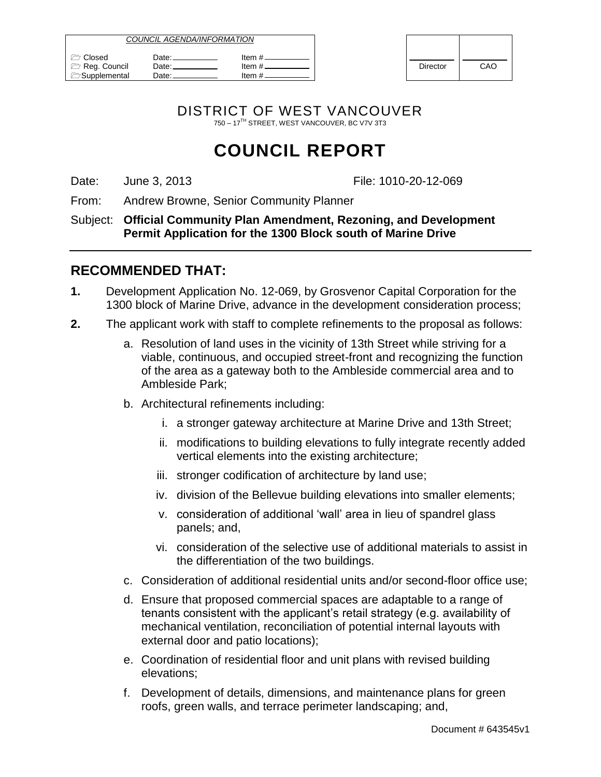| <i>COUNCIL AGENDA/INFORMATION</i>             |                          |                             |                 |     |
|-----------------------------------------------|--------------------------|-----------------------------|-----------------|-----|
| Closed<br>Reg. Council<br><b>Supplemental</b> | Date:<br>Date: _<br>Date | ltem #.<br>ltem #<br>ltem # | <b>Director</b> | CAO |

| <b>Director</b> | CAO |
|-----------------|-----|

DISTRICT OF WEST VANCOUVER 750 – 17TH STREET, WEST VANCOUVER, BC V7V 3T3

## **COUNCIL REPORT**

Date: Uune 3, 2013 June 1, 2013 June 1, 2010 File: 1010-20-12-069

From: Andrew Browne, Senior Community Planner

Subject: **Official Community Plan Amendment, Rezoning, and Development Permit Application for the 1300 Block south of Marine Drive**

### **RECOMMENDED THAT:**

- **1.** Development Application No. 12-069, by Grosvenor Capital Corporation for the 1300 block of Marine Drive, advance in the development consideration process;
- **2.** The applicant work with staff to complete refinements to the proposal as follows:
	- a. Resolution of land uses in the vicinity of 13th Street while striving for a viable, continuous, and occupied street-front and recognizing the function of the area as a gateway both to the Ambleside commercial area and to Ambleside Park;
	- b. Architectural refinements including:
		- i. a stronger gateway architecture at Marine Drive and 13th Street;
		- ii. modifications to building elevations to fully integrate recently added vertical elements into the existing architecture;
		- iii. stronger codification of architecture by land use;
		- iv. division of the Bellevue building elevations into smaller elements;
		- v. consideration of additional "wall" area in lieu of spandrel glass panels; and,
		- vi. consideration of the selective use of additional materials to assist in the differentiation of the two buildings.
	- c. Consideration of additional residential units and/or second-floor office use;
	- d. Ensure that proposed commercial spaces are adaptable to a range of tenants consistent with the applicant"s retail strategy (e.g. availability of mechanical ventilation, reconciliation of potential internal layouts with external door and patio locations);
	- e. Coordination of residential floor and unit plans with revised building elevations;
	- f. Development of details, dimensions, and maintenance plans for green roofs, green walls, and terrace perimeter landscaping; and,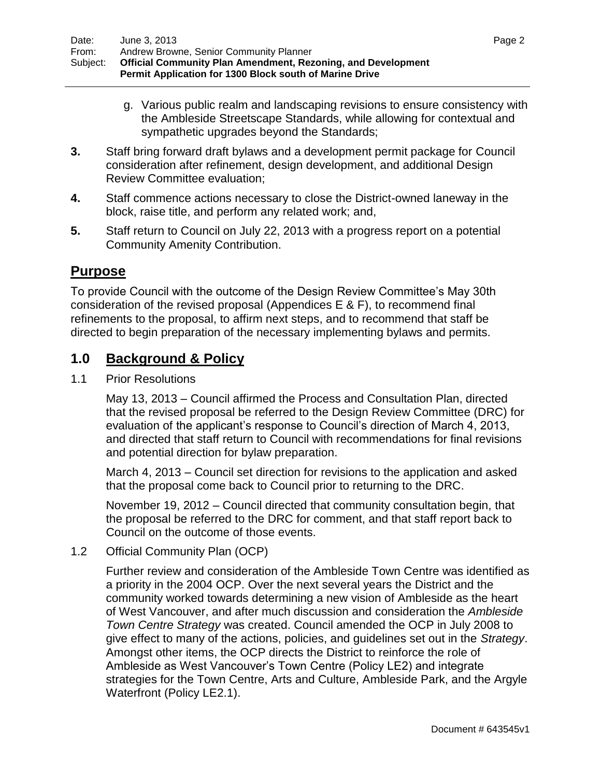- g. Various public realm and landscaping revisions to ensure consistency with the Ambleside Streetscape Standards, while allowing for contextual and sympathetic upgrades beyond the Standards;
- **3.** Staff bring forward draft bylaws and a development permit package for Council consideration after refinement, design development, and additional Design Review Committee evaluation;
- **4.** Staff commence actions necessary to close the District-owned laneway in the block, raise title, and perform any related work; and,
- **5.** Staff return to Council on July 22, 2013 with a progress report on a potential Community Amenity Contribution.

### **Purpose**

To provide Council with the outcome of the Design Review Committee"s May 30th consideration of the revised proposal (Appendices E & F), to recommend final refinements to the proposal, to affirm next steps, and to recommend that staff be directed to begin preparation of the necessary implementing bylaws and permits.

### **1.0 Background & Policy**

1.1 Prior Resolutions

May 13, 2013 – Council affirmed the Process and Consultation Plan, directed that the revised proposal be referred to the Design Review Committee (DRC) for evaluation of the applicant"s response to Council"s direction of March 4, 2013, and directed that staff return to Council with recommendations for final revisions and potential direction for bylaw preparation.

March 4, 2013 – Council set direction for revisions to the application and asked that the proposal come back to Council prior to returning to the DRC.

November 19, 2012 – Council directed that community consultation begin, that the proposal be referred to the DRC for comment, and that staff report back to Council on the outcome of those events.

### 1.2 Official Community Plan (OCP)

Further review and consideration of the Ambleside Town Centre was identified as a priority in the 2004 OCP. Over the next several years the District and the community worked towards determining a new vision of Ambleside as the heart of West Vancouver, and after much discussion and consideration the *Ambleside Town Centre Strategy* was created. Council amended the OCP in July 2008 to give effect to many of the actions, policies, and guidelines set out in the *Strategy*. Amongst other items, the OCP directs the District to reinforce the role of Ambleside as West Vancouver"s Town Centre (Policy LE2) and integrate strategies for the Town Centre, Arts and Culture, Ambleside Park, and the Argyle Waterfront (Policy LE2.1).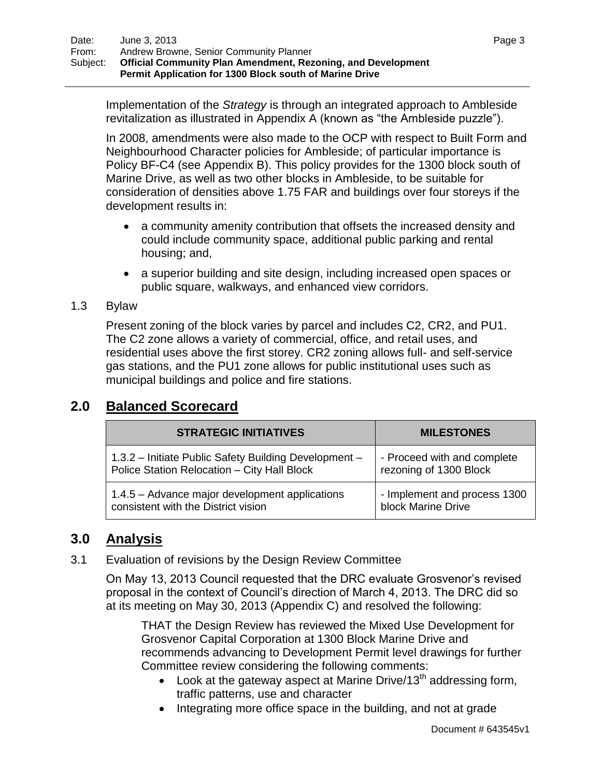Implementation of the *Strategy* is through an integrated approach to Ambleside revitalization as illustrated in Appendix A (known as "the Ambleside puzzle").

In 2008, amendments were also made to the OCP with respect to Built Form and Neighbourhood Character policies for Ambleside; of particular importance is Policy BF-C4 (see Appendix B). This policy provides for the 1300 block south of Marine Drive, as well as two other blocks in Ambleside, to be suitable for consideration of densities above 1.75 FAR and buildings over four storeys if the development results in:

- a community amenity contribution that offsets the increased density and could include community space, additional public parking and rental housing; and,
- a superior building and site design, including increased open spaces or public square, walkways, and enhanced view corridors.

### 1.3 Bylaw

Present zoning of the block varies by parcel and includes C2, CR2, and PU1. The C2 zone allows a variety of commercial, office, and retail uses, and residential uses above the first storey. CR2 zoning allows full- and self-service gas stations, and the PU1 zone allows for public institutional uses such as municipal buildings and police and fire stations.

| <b>STRATEGIC INITIATIVES</b>                          | <b>MILESTONES</b>            |
|-------------------------------------------------------|------------------------------|
| 1.3.2 - Initiate Public Safety Building Development - | - Proceed with and complete  |
| Police Station Relocation - City Hall Block           | rezoning of 1300 Block       |
| 1.4.5 – Advance major development applications        | - Implement and process 1300 |
| consistent with the District vision                   | block Marine Drive           |

### **2.0 Balanced Scorecard**

### **3.0 Analysis**

3.1 Evaluation of revisions by the Design Review Committee

On May 13, 2013 Council requested that the DRC evaluate Grosvenor"s revised proposal in the context of Council"s direction of March 4, 2013. The DRC did so at its meeting on May 30, 2013 (Appendix C) and resolved the following:

THAT the Design Review has reviewed the Mixed Use Development for Grosvenor Capital Corporation at 1300 Block Marine Drive and recommends advancing to Development Permit level drawings for further Committee review considering the following comments:

- $\bullet$  Look at the gateway aspect at Marine Drive/13<sup>th</sup> addressing form. traffic patterns, use and character
- Integrating more office space in the building, and not at grade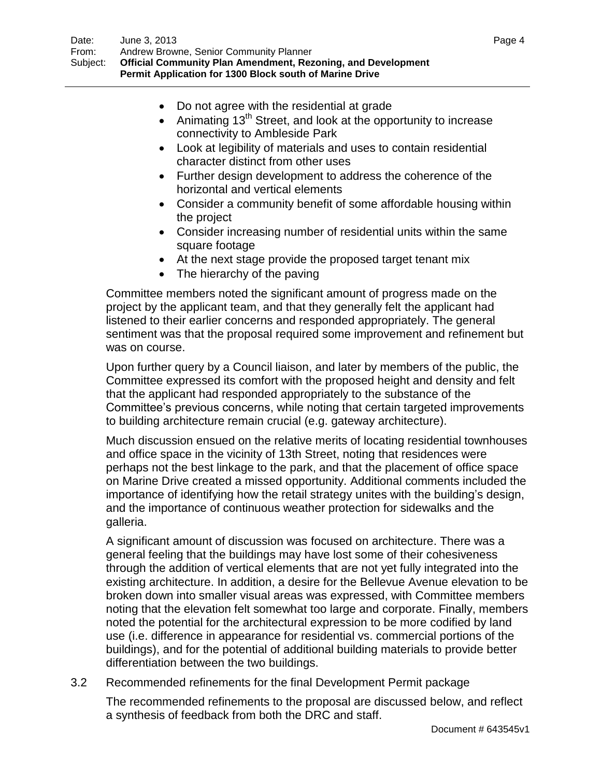- Do not agree with the residential at grade
- $\bullet$  Animating 13<sup>th</sup> Street, and look at the opportunity to increase connectivity to Ambleside Park
- Look at legibility of materials and uses to contain residential character distinct from other uses
- Further design development to address the coherence of the horizontal and vertical elements
- Consider a community benefit of some affordable housing within the project
- Consider increasing number of residential units within the same square footage
- At the next stage provide the proposed target tenant mix
- The hierarchy of the paving

Committee members noted the significant amount of progress made on the project by the applicant team, and that they generally felt the applicant had listened to their earlier concerns and responded appropriately. The general sentiment was that the proposal required some improvement and refinement but was on course.

Upon further query by a Council liaison, and later by members of the public, the Committee expressed its comfort with the proposed height and density and felt that the applicant had responded appropriately to the substance of the Committee"s previous concerns, while noting that certain targeted improvements to building architecture remain crucial (e.g. gateway architecture).

Much discussion ensued on the relative merits of locating residential townhouses and office space in the vicinity of 13th Street, noting that residences were perhaps not the best linkage to the park, and that the placement of office space on Marine Drive created a missed opportunity. Additional comments included the importance of identifying how the retail strategy unites with the building"s design, and the importance of continuous weather protection for sidewalks and the galleria.

A significant amount of discussion was focused on architecture. There was a general feeling that the buildings may have lost some of their cohesiveness through the addition of vertical elements that are not yet fully integrated into the existing architecture. In addition, a desire for the Bellevue Avenue elevation to be broken down into smaller visual areas was expressed, with Committee members noting that the elevation felt somewhat too large and corporate. Finally, members noted the potential for the architectural expression to be more codified by land use (i.e. difference in appearance for residential vs. commercial portions of the buildings), and for the potential of additional building materials to provide better differentiation between the two buildings.

3.2 Recommended refinements for the final Development Permit package

The recommended refinements to the proposal are discussed below, and reflect a synthesis of feedback from both the DRC and staff.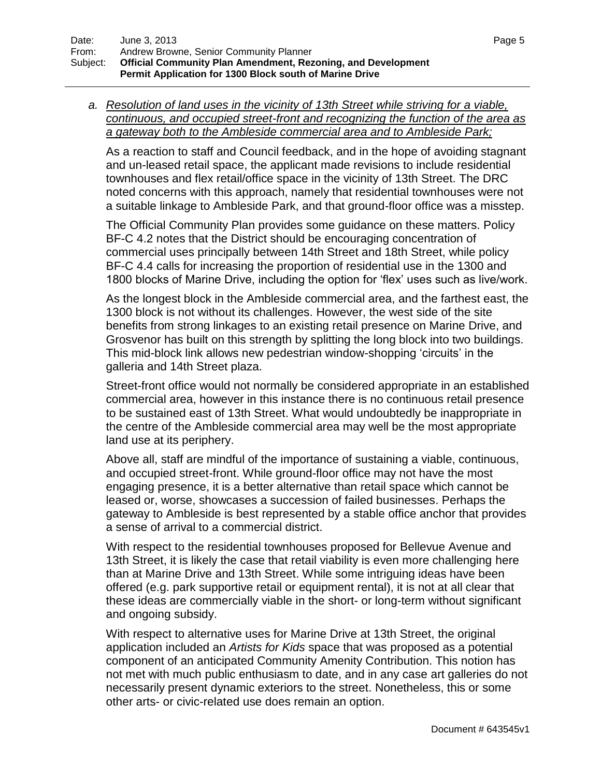*a. Resolution of land uses in the vicinity of 13th Street while striving for a viable, continuous, and occupied street-front and recognizing the function of the area as a gateway both to the Ambleside commercial area and to Ambleside Park;*

As a reaction to staff and Council feedback, and in the hope of avoiding stagnant and un-leased retail space, the applicant made revisions to include residential townhouses and flex retail/office space in the vicinity of 13th Street. The DRC noted concerns with this approach, namely that residential townhouses were not a suitable linkage to Ambleside Park, and that ground-floor office was a misstep.

The Official Community Plan provides some guidance on these matters. Policy BF-C 4.2 notes that the District should be encouraging concentration of commercial uses principally between 14th Street and 18th Street, while policy BF-C 4.4 calls for increasing the proportion of residential use in the 1300 and 1800 blocks of Marine Drive, including the option for 'flex' uses such as live/work.

As the longest block in the Ambleside commercial area, and the farthest east, the 1300 block is not without its challenges. However, the west side of the site benefits from strong linkages to an existing retail presence on Marine Drive, and Grosvenor has built on this strength by splitting the long block into two buildings. This mid-block link allows new pedestrian window-shopping "circuits" in the galleria and 14th Street plaza.

Street-front office would not normally be considered appropriate in an established commercial area, however in this instance there is no continuous retail presence to be sustained east of 13th Street. What would undoubtedly be inappropriate in the centre of the Ambleside commercial area may well be the most appropriate land use at its periphery.

Above all, staff are mindful of the importance of sustaining a viable, continuous, and occupied street-front. While ground-floor office may not have the most engaging presence, it is a better alternative than retail space which cannot be leased or, worse, showcases a succession of failed businesses. Perhaps the gateway to Ambleside is best represented by a stable office anchor that provides a sense of arrival to a commercial district.

With respect to the residential townhouses proposed for Bellevue Avenue and 13th Street, it is likely the case that retail viability is even more challenging here than at Marine Drive and 13th Street. While some intriguing ideas have been offered (e.g. park supportive retail or equipment rental), it is not at all clear that these ideas are commercially viable in the short- or long-term without significant and ongoing subsidy.

With respect to alternative uses for Marine Drive at 13th Street, the original application included an *Artists for Kids* space that was proposed as a potential component of an anticipated Community Amenity Contribution. This notion has not met with much public enthusiasm to date, and in any case art galleries do not necessarily present dynamic exteriors to the street. Nonetheless, this or some other arts- or civic-related use does remain an option.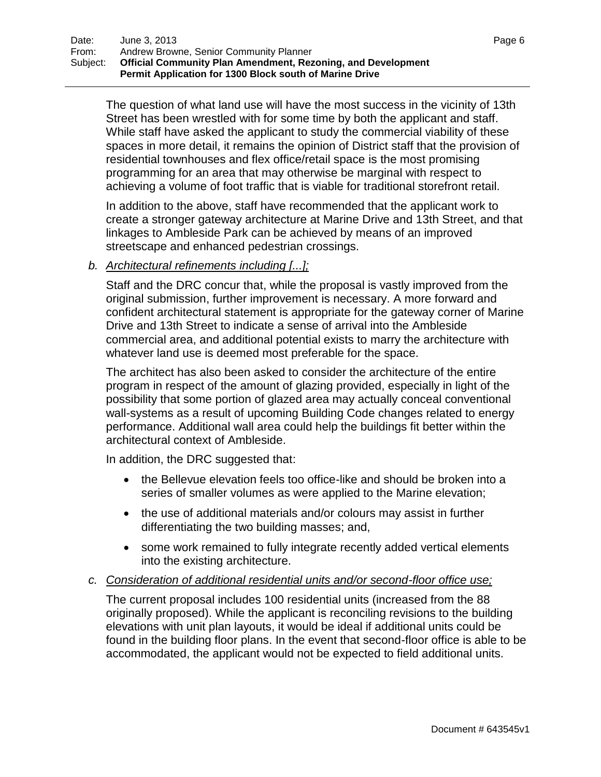The question of what land use will have the most success in the vicinity of 13th Street has been wrestled with for some time by both the applicant and staff. While staff have asked the applicant to study the commercial viability of these spaces in more detail, it remains the opinion of District staff that the provision of residential townhouses and flex office/retail space is the most promising programming for an area that may otherwise be marginal with respect to achieving a volume of foot traffic that is viable for traditional storefront retail.

In addition to the above, staff have recommended that the applicant work to create a stronger gateway architecture at Marine Drive and 13th Street, and that linkages to Ambleside Park can be achieved by means of an improved streetscape and enhanced pedestrian crossings.

### *b. Architectural refinements including [...];*

Staff and the DRC concur that, while the proposal is vastly improved from the original submission, further improvement is necessary. A more forward and confident architectural statement is appropriate for the gateway corner of Marine Drive and 13th Street to indicate a sense of arrival into the Ambleside commercial area, and additional potential exists to marry the architecture with whatever land use is deemed most preferable for the space.

The architect has also been asked to consider the architecture of the entire program in respect of the amount of glazing provided, especially in light of the possibility that some portion of glazed area may actually conceal conventional wall-systems as a result of upcoming Building Code changes related to energy performance. Additional wall area could help the buildings fit better within the architectural context of Ambleside.

In addition, the DRC suggested that:

- the Bellevue elevation feels too office-like and should be broken into a series of smaller volumes as were applied to the Marine elevation;
- the use of additional materials and/or colours may assist in further differentiating the two building masses; and,
- some work remained to fully integrate recently added vertical elements into the existing architecture.

### *c. Consideration of additional residential units and/or second-floor office use;*

The current proposal includes 100 residential units (increased from the 88 originally proposed). While the applicant is reconciling revisions to the building elevations with unit plan layouts, it would be ideal if additional units could be found in the building floor plans. In the event that second-floor office is able to be accommodated, the applicant would not be expected to field additional units.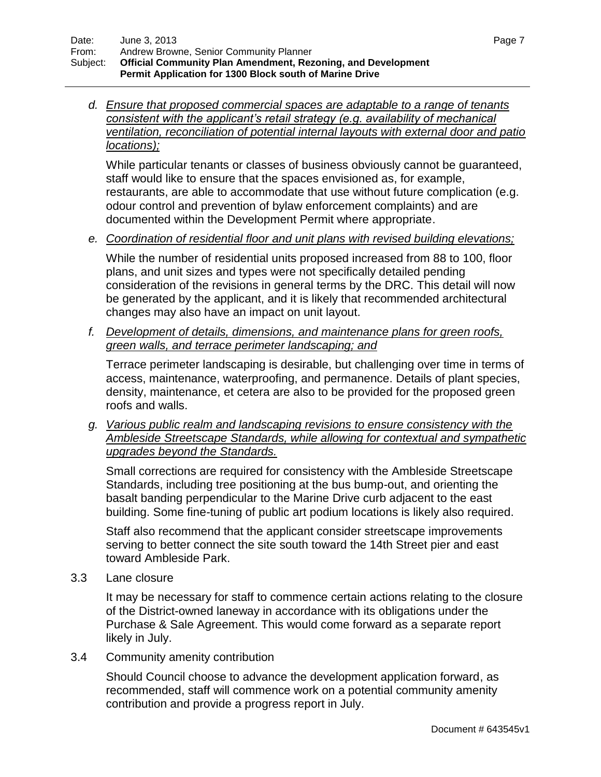*d. Ensure that proposed commercial spaces are adaptable to a range of tenants consistent with the applicant's retail strategy (e.g. availability of mechanical ventilation, reconciliation of potential internal layouts with external door and patio locations);*

While particular tenants or classes of business obviously cannot be guaranteed, staff would like to ensure that the spaces envisioned as, for example, restaurants, are able to accommodate that use without future complication (e.g. odour control and prevention of bylaw enforcement complaints) and are documented within the Development Permit where appropriate.

*e. Coordination of residential floor and unit plans with revised building elevations;*

While the number of residential units proposed increased from 88 to 100, floor plans, and unit sizes and types were not specifically detailed pending consideration of the revisions in general terms by the DRC. This detail will now be generated by the applicant, and it is likely that recommended architectural changes may also have an impact on unit layout.

*f. Development of details, dimensions, and maintenance plans for green roofs, green walls, and terrace perimeter landscaping; and*

Terrace perimeter landscaping is desirable, but challenging over time in terms of access, maintenance, waterproofing, and permanence. Details of plant species, density, maintenance, et cetera are also to be provided for the proposed green roofs and walls.

*g. Various public realm and landscaping revisions to ensure consistency with the Ambleside Streetscape Standards, while allowing for contextual and sympathetic upgrades beyond the Standards.*

Small corrections are required for consistency with the Ambleside Streetscape Standards, including tree positioning at the bus bump-out, and orienting the basalt banding perpendicular to the Marine Drive curb adjacent to the east building. Some fine-tuning of public art podium locations is likely also required.

Staff also recommend that the applicant consider streetscape improvements serving to better connect the site south toward the 14th Street pier and east toward Ambleside Park.

3.3 Lane closure

It may be necessary for staff to commence certain actions relating to the closure of the District-owned laneway in accordance with its obligations under the Purchase & Sale Agreement. This would come forward as a separate report likely in July.

3.4 Community amenity contribution

Should Council choose to advance the development application forward, as recommended, staff will commence work on a potential community amenity contribution and provide a progress report in July.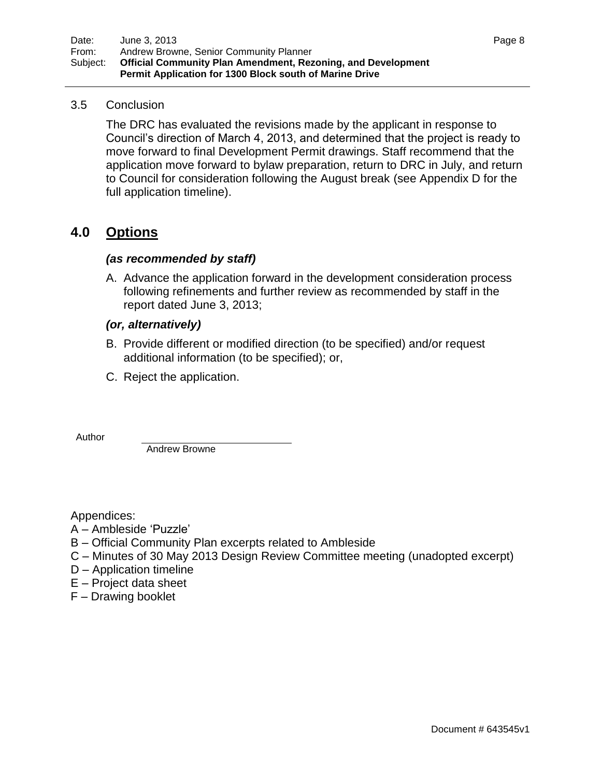### 3.5 Conclusion

The DRC has evaluated the revisions made by the applicant in response to Council"s direction of March 4, 2013, and determined that the project is ready to move forward to final Development Permit drawings. Staff recommend that the application move forward to bylaw preparation, return to DRC in July, and return to Council for consideration following the August break (see Appendix D for the full application timeline).

### **4.0 Options**

### *(as recommended by staff)*

A. Advance the application forward in the development consideration process following refinements and further review as recommended by staff in the report dated June 3, 2013;

### *(or, alternatively)*

- B. Provide different or modified direction (to be specified) and/or request additional information (to be specified); or,
- C. Reject the application.

Author

Andrew Browne

Appendices:

- A Ambleside "Puzzle"
- B Official Community Plan excerpts related to Ambleside
- C Minutes of 30 May 2013 Design Review Committee meeting (unadopted excerpt)
- D Application timeline
- E Project data sheet
- F Drawing booklet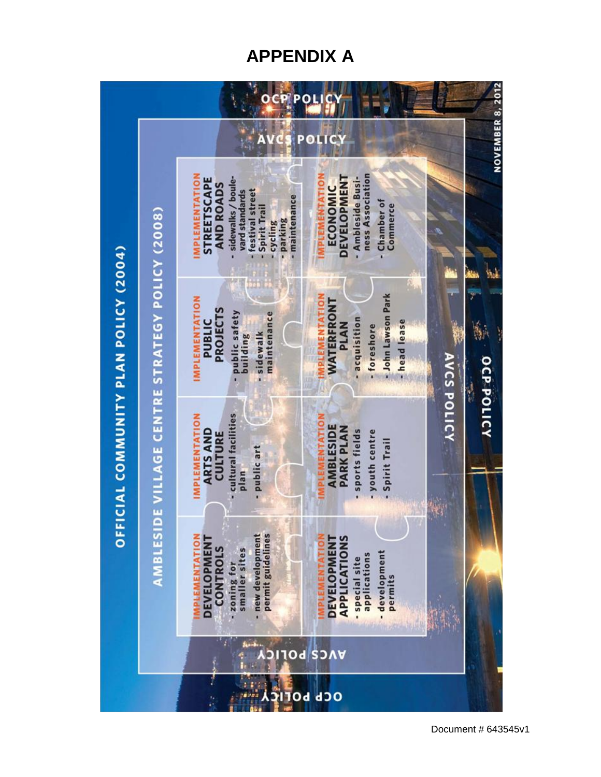## **APPENDIX A**

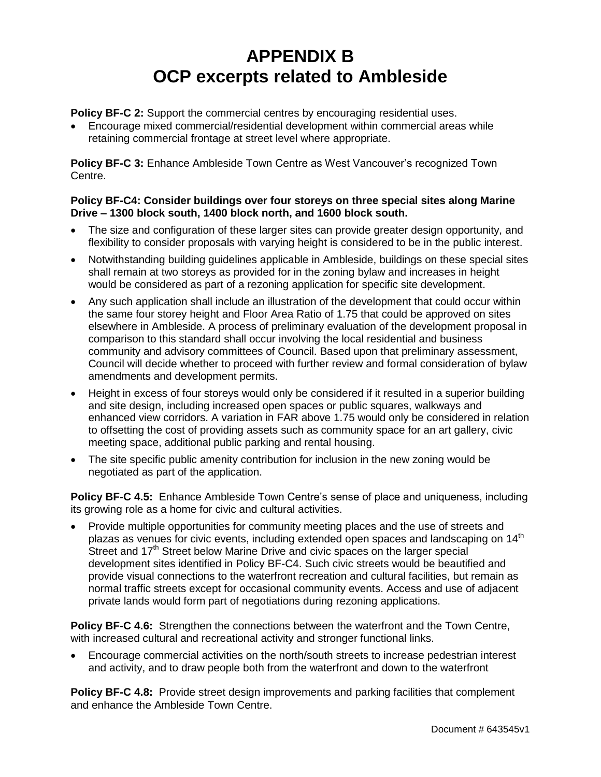## **APPENDIX B OCP excerpts related to Ambleside**

**Policy BF-C 2:** Support the commercial centres by encouraging residential uses.

 Encourage mixed commercial/residential development within commercial areas while retaining commercial frontage at street level where appropriate.

**Policy BF-C 3:** Enhance Ambleside Town Centre as West Vancouver's recognized Town Centre.

#### **Policy BF-C4: Consider buildings over four storeys on three special sites along Marine Drive – 1300 block south, 1400 block north, and 1600 block south.**

- The size and configuration of these larger sites can provide greater design opportunity, and flexibility to consider proposals with varying height is considered to be in the public interest.
- Notwithstanding building guidelines applicable in Ambleside, buildings on these special sites shall remain at two storeys as provided for in the zoning bylaw and increases in height would be considered as part of a rezoning application for specific site development.
- Any such application shall include an illustration of the development that could occur within the same four storey height and Floor Area Ratio of 1.75 that could be approved on sites elsewhere in Ambleside. A process of preliminary evaluation of the development proposal in comparison to this standard shall occur involving the local residential and business community and advisory committees of Council. Based upon that preliminary assessment, Council will decide whether to proceed with further review and formal consideration of bylaw amendments and development permits.
- Height in excess of four storeys would only be considered if it resulted in a superior building and site design, including increased open spaces or public squares, walkways and enhanced view corridors. A variation in FAR above 1.75 would only be considered in relation to offsetting the cost of providing assets such as community space for an art gallery, civic meeting space, additional public parking and rental housing.
- The site specific public amenity contribution for inclusion in the new zoning would be negotiated as part of the application.

**Policy BF-C 4.5:** Enhance Ambleside Town Centre's sense of place and uniqueness, including its growing role as a home for civic and cultural activities.

 Provide multiple opportunities for community meeting places and the use of streets and plazas as venues for civic events, including extended open spaces and landscaping on 14<sup>th</sup> Street and 17<sup>th</sup> Street below Marine Drive and civic spaces on the larger special development sites identified in Policy BF-C4. Such civic streets would be beautified and provide visual connections to the waterfront recreation and cultural facilities, but remain as normal traffic streets except for occasional community events. Access and use of adjacent private lands would form part of negotiations during rezoning applications.

**Policy BF-C 4.6:** Strengthen the connections between the waterfront and the Town Centre, with increased cultural and recreational activity and stronger functional links.

 Encourage commercial activities on the north/south streets to increase pedestrian interest and activity, and to draw people both from the waterfront and down to the waterfront

**Policy BF-C 4.8:** Provide street design improvements and parking facilities that complement and enhance the Ambleside Town Centre.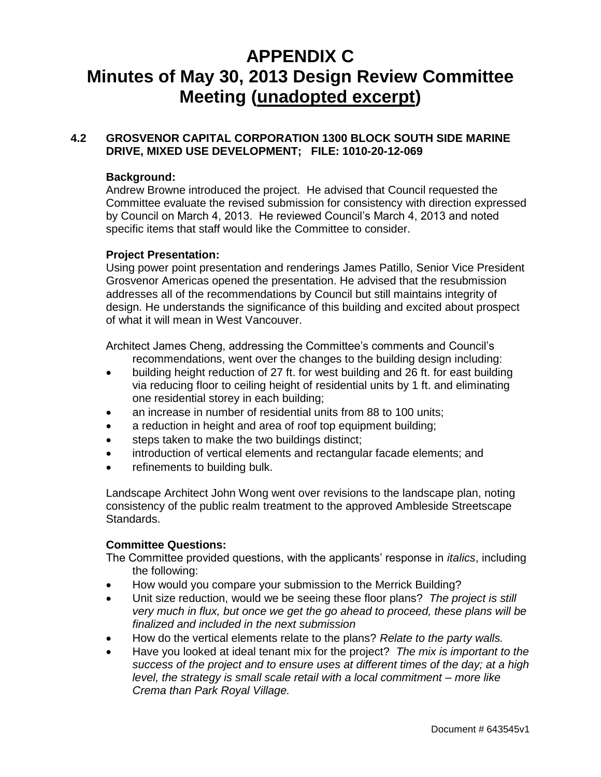## **APPENDIX C Minutes of May 30, 2013 Design Review Committee Meeting (unadopted excerpt)**

### **4.2 GROSVENOR CAPITAL CORPORATION 1300 BLOCK SOUTH SIDE MARINE DRIVE, MIXED USE DEVELOPMENT; FILE: 1010-20-12-069**

### **Background:**

Andrew Browne introduced the project. He advised that Council requested the Committee evaluate the revised submission for consistency with direction expressed by Council on March 4, 2013. He reviewed Council"s March 4, 2013 and noted specific items that staff would like the Committee to consider.

### **Project Presentation:**

Using power point presentation and renderings James Patillo, Senior Vice President Grosvenor Americas opened the presentation. He advised that the resubmission addresses all of the recommendations by Council but still maintains integrity of design. He understands the significance of this building and excited about prospect of what it will mean in West Vancouver.

Architect James Cheng, addressing the Committee"s comments and Council"s recommendations, went over the changes to the building design including:

- building height reduction of 27 ft. for west building and 26 ft. for east building via reducing floor to ceiling height of residential units by 1 ft. and eliminating one residential storey in each building;
- an increase in number of residential units from 88 to 100 units;
- a reduction in height and area of roof top equipment building;
- steps taken to make the two buildings distinct;
- introduction of vertical elements and rectangular facade elements; and
- refinements to building bulk.

Landscape Architect John Wong went over revisions to the landscape plan, noting consistency of the public realm treatment to the approved Ambleside Streetscape Standards.

### **Committee Questions:**

The Committee provided questions, with the applicants" response in *italics*, including the following:

- How would you compare your submission to the Merrick Building?
- Unit size reduction, would we be seeing these floor plans? *The project is still very much in flux, but once we get the go ahead to proceed, these plans will be finalized and included in the next submission*
- How do the vertical elements relate to the plans? *Relate to the party walls.*
- Have you looked at ideal tenant mix for the project? *The mix is important to the success of the project and to ensure uses at different times of the day; at a high level, the strategy is small scale retail with a local commitment – more like Crema than Park Royal Village.*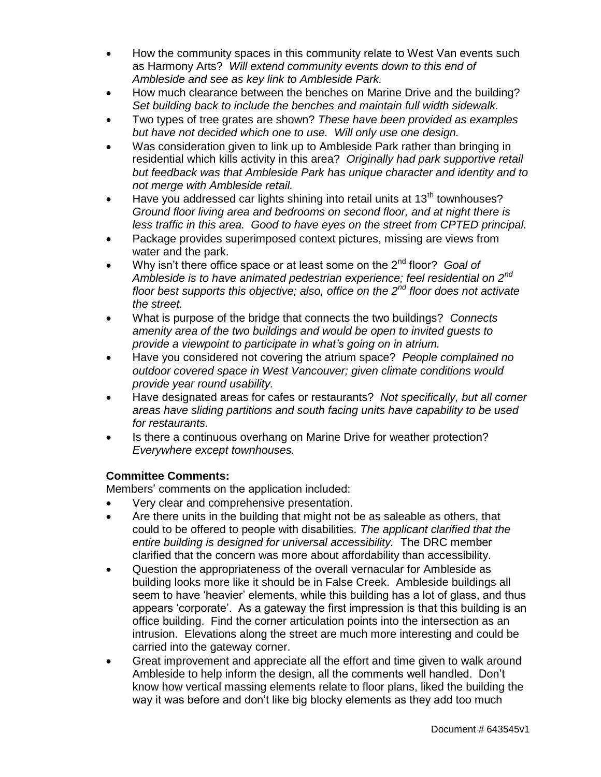- How the community spaces in this community relate to West Van events such as Harmony Arts? *Will extend community events down to this end of Ambleside and see as key link to Ambleside Park.*
- How much clearance between the benches on Marine Drive and the building? *Set building back to include the benches and maintain full width sidewalk.*
- Two types of tree grates are shown? *These have been provided as examples but have not decided which one to use. Will only use one design.*
- Was consideration given to link up to Ambleside Park rather than bringing in residential which kills activity in this area? *Originally had park supportive retail but feedback was that Ambleside Park has unique character and identity and to not merge with Ambleside retail.*
- Have you addressed car lights shining into retail units at  $13<sup>th</sup>$  townhouses? *Ground floor living area and bedrooms on second floor, and at night there is less traffic in this area. Good to have eyes on the street from CPTED principal.*
- Package provides superimposed context pictures, missing are views from water and the park.
- Why isn't there office space or at least some on the 2<sup>nd</sup> floor? *Goal of Ambleside is to have animated pedestrian experience; feel residential on 2nd floor best supports this objective; also, office on the 2nd floor does not activate the street.*
- What is purpose of the bridge that connects the two buildings? *Connects amenity area of the two buildings and would be open to invited guests to provide a viewpoint to participate in what's going on in atrium.*
- Have you considered not covering the atrium space? *People complained no outdoor covered space in West Vancouver; given climate conditions would provide year round usability.*
- Have designated areas for cafes or restaurants? *Not specifically, but all corner areas have sliding partitions and south facing units have capability to be used for restaurants.*
- Is there a continuous overhang on Marine Drive for weather protection? *Everywhere except townhouses.*

### **Committee Comments:**

Members" comments on the application included:

- Very clear and comprehensive presentation.
- Are there units in the building that might not be as saleable as others, that could to be offered to people with disabilities. *The applicant clarified that the entire building is designed for universal accessibility.* The DRC member clarified that the concern was more about affordability than accessibility.
- Question the appropriateness of the overall vernacular for Ambleside as building looks more like it should be in False Creek. Ambleside buildings all seem to have "heavier" elements, while this building has a lot of glass, and thus appears "corporate". As a gateway the first impression is that this building is an office building. Find the corner articulation points into the intersection as an intrusion. Elevations along the street are much more interesting and could be carried into the gateway corner.
- Great improvement and appreciate all the effort and time given to walk around Ambleside to help inform the design, all the comments well handled. Don"t know how vertical massing elements relate to floor plans, liked the building the way it was before and don"t like big blocky elements as they add too much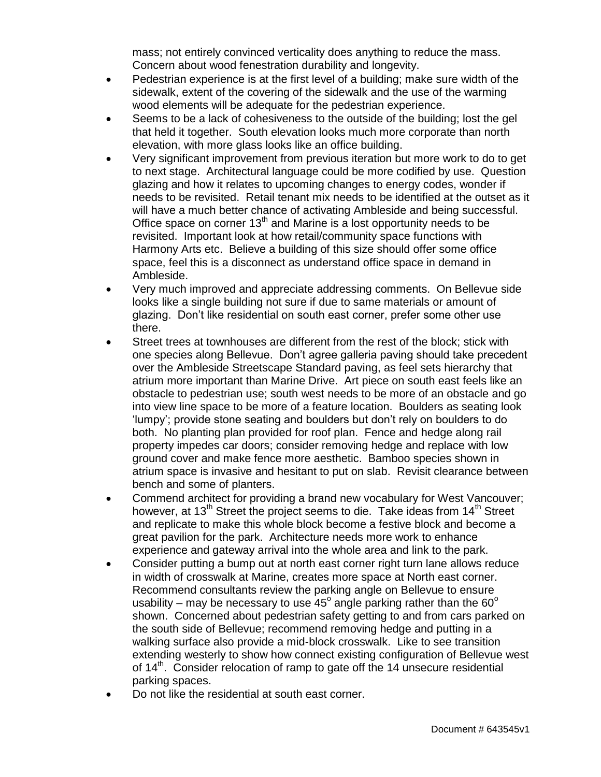mass; not entirely convinced verticality does anything to reduce the mass. Concern about wood fenestration durability and longevity.

- Pedestrian experience is at the first level of a building; make sure width of the sidewalk, extent of the covering of the sidewalk and the use of the warming wood elements will be adequate for the pedestrian experience.
- Seems to be a lack of cohesiveness to the outside of the building; lost the gel that held it together. South elevation looks much more corporate than north elevation, with more glass looks like an office building.
- Very significant improvement from previous iteration but more work to do to get to next stage. Architectural language could be more codified by use. Question glazing and how it relates to upcoming changes to energy codes, wonder if needs to be revisited. Retail tenant mix needs to be identified at the outset as it will have a much better chance of activating Ambleside and being successful. Office space on corner 13<sup>th</sup> and Marine is a lost opportunity needs to be revisited. Important look at how retail/community space functions with Harmony Arts etc. Believe a building of this size should offer some office space, feel this is a disconnect as understand office space in demand in Ambleside.
- Very much improved and appreciate addressing comments. On Bellevue side looks like a single building not sure if due to same materials or amount of glazing. Don"t like residential on south east corner, prefer some other use there.
- Street trees at townhouses are different from the rest of the block; stick with one species along Bellevue. Don"t agree galleria paving should take precedent over the Ambleside Streetscape Standard paving, as feel sets hierarchy that atrium more important than Marine Drive. Art piece on south east feels like an obstacle to pedestrian use; south west needs to be more of an obstacle and go into view line space to be more of a feature location. Boulders as seating look "lumpy"; provide stone seating and boulders but don"t rely on boulders to do both. No planting plan provided for roof plan. Fence and hedge along rail property impedes car doors; consider removing hedge and replace with low ground cover and make fence more aesthetic. Bamboo species shown in atrium space is invasive and hesitant to put on slab. Revisit clearance between bench and some of planters.
- Commend architect for providing a brand new vocabulary for West Vancouver; however, at 13<sup>th</sup> Street the project seems to die. Take ideas from  $14<sup>th</sup>$  Street and replicate to make this whole block become a festive block and become a great pavilion for the park. Architecture needs more work to enhance experience and gateway arrival into the whole area and link to the park.
- Consider putting a bump out at north east corner right turn lane allows reduce in width of crosswalk at Marine, creates more space at North east corner. Recommend consultants review the parking angle on Bellevue to ensure usability – may be necessary to use 45<sup>o</sup> angle parking rather than the 60<sup>o</sup> shown. Concerned about pedestrian safety getting to and from cars parked on the south side of Bellevue; recommend removing hedge and putting in a walking surface also provide a mid-block crosswalk. Like to see transition extending westerly to show how connect existing configuration of Bellevue west of  $14<sup>th</sup>$ . Consider relocation of ramp to gate off the 14 unsecure residential parking spaces.
- Do not like the residential at south east corner.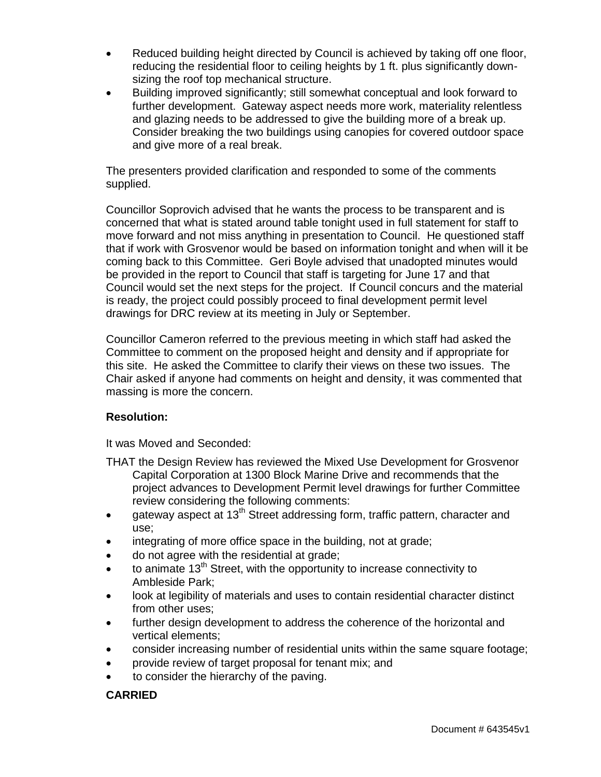- Reduced building height directed by Council is achieved by taking off one floor, reducing the residential floor to ceiling heights by 1 ft. plus significantly downsizing the roof top mechanical structure.
- Building improved significantly; still somewhat conceptual and look forward to further development. Gateway aspect needs more work, materiality relentless and glazing needs to be addressed to give the building more of a break up. Consider breaking the two buildings using canopies for covered outdoor space and give more of a real break.

The presenters provided clarification and responded to some of the comments supplied.

Councillor Soprovich advised that he wants the process to be transparent and is concerned that what is stated around table tonight used in full statement for staff to move forward and not miss anything in presentation to Council. He questioned staff that if work with Grosvenor would be based on information tonight and when will it be coming back to this Committee. Geri Boyle advised that unadopted minutes would be provided in the report to Council that staff is targeting for June 17 and that Council would set the next steps for the project. If Council concurs and the material is ready, the project could possibly proceed to final development permit level drawings for DRC review at its meeting in July or September.

Councillor Cameron referred to the previous meeting in which staff had asked the Committee to comment on the proposed height and density and if appropriate for this site. He asked the Committee to clarify their views on these two issues. The Chair asked if anyone had comments on height and density, it was commented that massing is more the concern.

### **Resolution:**

It was Moved and Seconded:

- THAT the Design Review has reviewed the Mixed Use Development for Grosvenor Capital Corporation at 1300 Block Marine Drive and recommends that the project advances to Development Permit level drawings for further Committee review considering the following comments:
- e ateway aspect at 13<sup>th</sup> Street addressing form, traffic pattern, character and use;
- integrating of more office space in the building, not at grade;
- do not agree with the residential at grade;
- $\bullet$  to animate 13<sup>th</sup> Street, with the opportunity to increase connectivity to Ambleside Park;
- look at legibility of materials and uses to contain residential character distinct from other uses;
- further design development to address the coherence of the horizontal and vertical elements;
- consider increasing number of residential units within the same square footage;
- provide review of target proposal for tenant mix; and
- to consider the hierarchy of the paving.

### **CARRIED**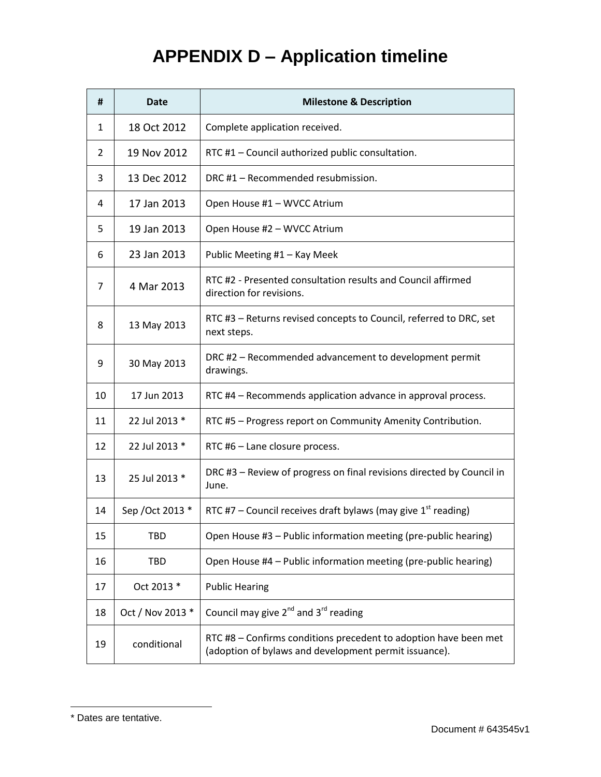# **APPENDIX D – Application timeline**

| #  | <b>Date</b>      | <b>Milestone &amp; Description</b>                                                                                        |  |
|----|------------------|---------------------------------------------------------------------------------------------------------------------------|--|
| 1  | 18 Oct 2012      | Complete application received.                                                                                            |  |
| 2  | 19 Nov 2012      | RTC #1 - Council authorized public consultation.                                                                          |  |
| 3  | 13 Dec 2012      | DRC #1 - Recommended resubmission.                                                                                        |  |
| 4  | 17 Jan 2013      | Open House #1 - WVCC Atrium                                                                                               |  |
| 5  | 19 Jan 2013      | Open House #2 - WVCC Atrium                                                                                               |  |
| 6  | 23 Jan 2013      | Public Meeting #1 - Kay Meek                                                                                              |  |
| 7  | 4 Mar 2013       | RTC #2 - Presented consultation results and Council affirmed<br>direction for revisions.                                  |  |
| 8  | 13 May 2013      | RTC #3 – Returns revised concepts to Council, referred to DRC, set<br>next steps.                                         |  |
| 9  | 30 May 2013      | DRC #2 - Recommended advancement to development permit<br>drawings.                                                       |  |
| 10 | 17 Jun 2013      | RTC #4 - Recommends application advance in approval process.                                                              |  |
| 11 | 22 Jul 2013 *    | RTC #5 - Progress report on Community Amenity Contribution.                                                               |  |
| 12 | 22 Jul 2013 *    | RTC #6 - Lane closure process.                                                                                            |  |
| 13 | 25 Jul 2013 *    | DRC #3 - Review of progress on final revisions directed by Council in<br>June.                                            |  |
| 14 | Sep / Oct 2013 * | RTC #7 – Council receives draft bylaws (may give $1st$ reading)                                                           |  |
| 15 | <b>TBD</b>       | Open House #3 - Public information meeting (pre-public hearing)                                                           |  |
| 16 | <b>TBD</b>       | Open House #4 - Public information meeting (pre-public hearing)                                                           |  |
| 17 | Oct 2013 *       | <b>Public Hearing</b>                                                                                                     |  |
| 18 | Oct / Nov 2013 * | Council may give $2^{nd}$ and $3^{rd}$ reading                                                                            |  |
| 19 | conditional      | RTC #8 - Confirms conditions precedent to adoption have been met<br>(adoption of bylaws and development permit issuance). |  |

 $\overline{a}$ 

<sup>\*</sup> Dates are tentative.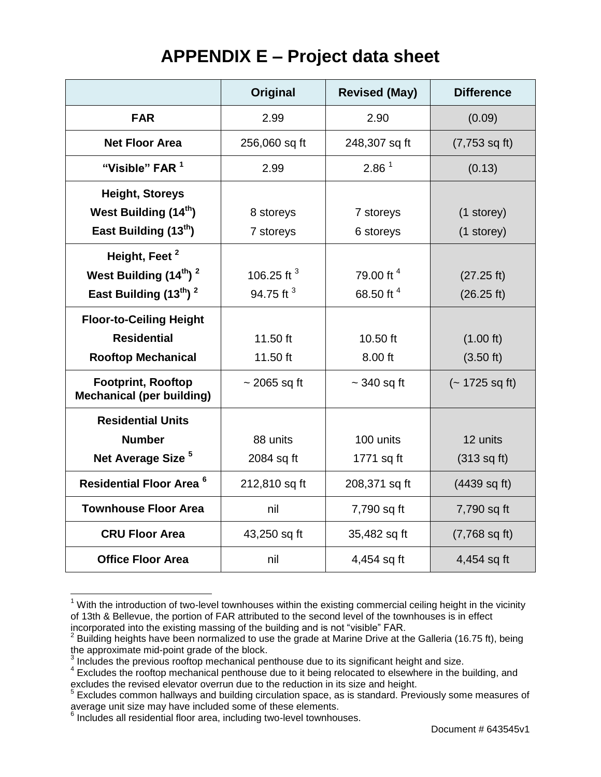## **APPENDIX E – Project data sheet**

|                                                               | Original              | <b>Revised (May)</b> | <b>Difference</b>       |
|---------------------------------------------------------------|-----------------------|----------------------|-------------------------|
| <b>FAR</b>                                                    | 2.99                  | 2.90                 | (0.09)                  |
| <b>Net Floor Area</b>                                         | 256,060 sq ft         | 248,307 sq ft        | $(7,753 \text{ sq ft})$ |
| "Visible" FAR <sup>1</sup>                                    | 2.99                  | 2.86 <sup>1</sup>    | (0.13)                  |
| <b>Height, Storeys</b>                                        |                       |                      |                         |
| West Building (14 <sup>th</sup> )                             | 8 storeys             | 7 storeys            | (1 storey)              |
| East Building (13 <sup>th</sup> )                             | 7 storeys             | 6 storeys            | (1 storey)              |
| Height, Feet <sup>2</sup>                                     |                       |                      |                         |
| West Building (14th) <sup>2</sup>                             | 106.25 ft $3$         | 79.00 ft 4           | (27.25 ft)              |
| East Building $(13^{th})^2$                                   | 94.75 ft <sup>3</sup> | 68.50 ft 4           | (26.25 ft)              |
| <b>Floor-to-Ceiling Height</b>                                |                       |                      |                         |
| <b>Residential</b>                                            | 11.50 ft              | 10.50 ft             | (1.00 ft)               |
| <b>Rooftop Mechanical</b>                                     | 11.50 ft              | 8.00 ft              | (3.50 ft)               |
| <b>Footprint, Rooftop</b><br><b>Mechanical (per building)</b> | $\sim$ 2065 sq ft     | $\sim$ 340 sq ft     | $(-1725 \text{ sq ft})$ |
| <b>Residential Units</b>                                      |                       |                      |                         |
| <b>Number</b>                                                 | 88 units              | 100 units            | 12 units                |
| Net Average Size <sup>5</sup>                                 | 2084 sq ft            | 1771 sq ft           | (313 sq ft)             |
| <b>Residential Floor Area<sup>6</sup></b>                     | 212,810 sq ft         | 208,371 sq ft        | (4439 sq ft)            |
| <b>Townhouse Floor Area</b>                                   | nil                   | 7,790 sq ft          | 7,790 sq ft             |
| <b>CRU Floor Area</b>                                         | 43,250 sq ft          | 35,482 sq ft         | $(7,768 \text{ sq ft})$ |
| <b>Office Floor Area</b>                                      | nil                   | 4,454 sq ft          | 4,454 sq ft             |

 $\overline{a}$  $1$  With the introduction of two-level townhouses within the existing commercial ceiling height in the vicinity of 13th & Bellevue, the portion of FAR attributed to the second level of the townhouses is in effect incorporated into the existing massing of the building and is not "visible" FAR.<br><sup>2</sup> Building boights have been permalized to use the grade at Merine Drive at the

Building heights have been normalized to use the grade at Marine Drive at the Galleria (16.75 ft), being

the approximate mid-point grade of the block.<br><sup>3</sup> Includes the previous rooftop mechanical penthouse due to its significant height and size.

<sup>&</sup>lt;sup>4</sup> Excludes the rooftop mechanical penthouse due to it being relocated to elsewhere in the building, and

excludes the revised elevator overrun due to the reduction in its size and height.<br><sup>5</sup> Excludes common hallways and building circulation space, as is standard. Previously some measures of average unit size may have included some of these elements.

<sup>&</sup>lt;sup>6</sup> Includes all residential floor area, including two-level townhouses.